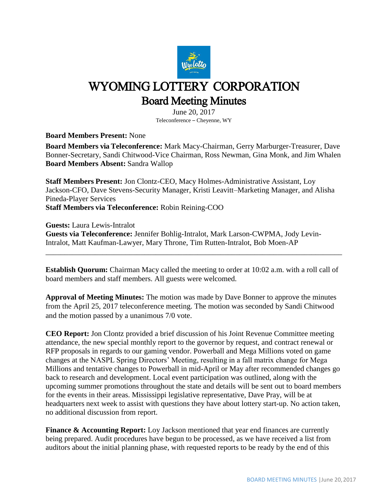

## WYOMING LOTTERY CORPORATION Board Meeting Minutes

June 20, 2017 Teleconference – Cheyenne, WY

**Board Members Present:** None

**Board Members via Teleconference:** Mark Macy-Chairman, Gerry Marburger-Treasurer, Dave Bonner-Secretary, Sandi Chitwood-Vice Chairman, Ross Newman, Gina Monk, and Jim Whalen **Board Members Absent:** Sandra Wallop

**Staff Members Present:** Jon Clontz-CEO, Macy Holmes-Administrative Assistant, Loy Jackson-CFO, Dave Stevens-Security Manager, Kristi Leavitt–Marketing Manager, and Alisha Pineda-Player Services **Staff Members via Teleconference:** Robin Reining-COO

**Guests:** Laura Lewis-Intralot **Guests via Teleconference:** Jennifer Bohlig-Intralot, Mark Larson-CWPMA, Jody Levin-Intralot, Matt Kaufman-Lawyer, Mary Throne, Tim Rutten-Intralot, Bob Moen-AP

**Establish Quorum:** Chairman Macy called the meeting to order at 10:02 a.m. with a roll call of board members and staff members. All guests were welcomed.

\_\_\_\_\_\_\_\_\_\_\_\_\_\_\_\_\_\_\_\_\_\_\_\_\_\_\_\_\_\_\_\_\_\_\_\_\_\_\_\_\_\_\_\_\_\_\_\_\_\_\_\_\_\_\_\_\_\_\_\_\_\_\_\_\_\_\_\_\_\_\_\_\_\_\_\_\_\_

**Approval of Meeting Minutes:** The motion was made by Dave Bonner to approve the minutes from the April 25, 2017 teleconference meeting. The motion was seconded by Sandi Chitwood and the motion passed by a unanimous 7/0 vote.

**CEO Report:** Jon Clontz provided a brief discussion of his Joint Revenue Committee meeting attendance, the new special monthly report to the governor by request, and contract renewal or RFP proposals in regards to our gaming vendor. Powerball and Mega Millions voted on game changes at the NASPL Spring Directors' Meeting, resulting in a fall matrix change for Mega Millions and tentative changes to Powerball in mid-April or May after recommended changes go back to research and development. Local event participation was outlined, along with the upcoming summer promotions throughout the state and details will be sent out to board members for the events in their areas. Mississippi legislative representative, Dave Pray, will be at headquarters next week to assist with questions they have about lottery start-up. No action taken, no additional discussion from report.

**Finance & Accounting Report:** Loy Jackson mentioned that year end finances are currently being prepared. Audit procedures have begun to be processed, as we have received a list from auditors about the initial planning phase, with requested reports to be ready by the end of this